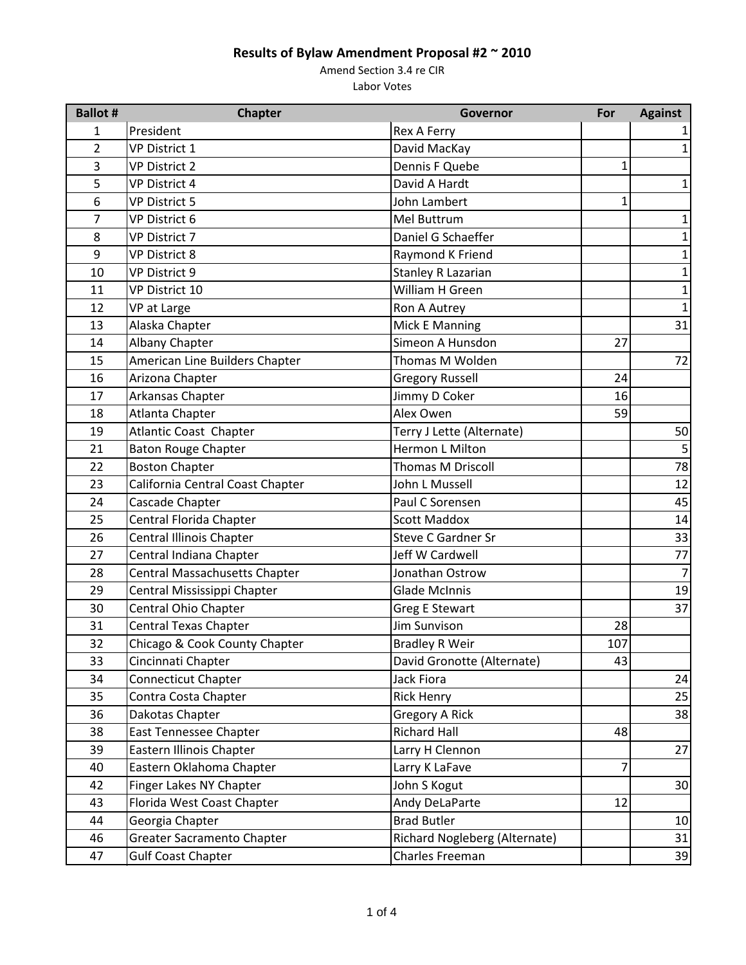Amend Section 3.4 re CIR

| <b>Ballot #</b> | <b>Chapter</b>                   | Governor                      | For          | <b>Against</b> |
|-----------------|----------------------------------|-------------------------------|--------------|----------------|
| 1               | President                        | Rex A Ferry                   |              |                |
| $\overline{2}$  | <b>VP District 1</b>             | David MacKay                  |              | 1              |
| 3               | <b>VP District 2</b>             | Dennis F Quebe                | 1            |                |
| 5               | <b>VP District 4</b>             | David A Hardt                 |              | $\mathbf{1}$   |
| 6               | <b>VP District 5</b>             | John Lambert                  | $\mathbf{1}$ |                |
| 7               | VP District 6                    | Mel Buttrum                   |              | 1              |
| 8               | <b>VP District 7</b>             | Daniel G Schaeffer            |              |                |
| 9               | <b>VP District 8</b>             | Raymond K Friend              |              | 1              |
| 10              | VP District 9                    | <b>Stanley R Lazarian</b>     |              | 1              |
| 11              | VP District 10                   | William H Green               |              | 1              |
| 12              | VP at Large                      | Ron A Autrey                  |              | 1              |
| 13              | Alaska Chapter                   | Mick E Manning                |              | 31             |
| 14              | Albany Chapter                   | Simeon A Hunsdon              | 27           |                |
| 15              | American Line Builders Chapter   | Thomas M Wolden               |              | 72             |
| 16              | Arizona Chapter                  | <b>Gregory Russell</b>        | 24           |                |
| 17              | Arkansas Chapter                 | Jimmy D Coker                 | 16           |                |
| 18              | <b>Atlanta Chapter</b>           | Alex Owen                     | 59           |                |
| 19              | <b>Atlantic Coast Chapter</b>    | Terry J Lette (Alternate)     |              | 50             |
| 21              | <b>Baton Rouge Chapter</b>       | Hermon L Milton               |              | 5              |
| 22              | <b>Boston Chapter</b>            | <b>Thomas M Driscoll</b>      |              | 78             |
| 23              | California Central Coast Chapter | John L Mussell                |              | 12             |
| 24              | Cascade Chapter                  | Paul C Sorensen               |              | 45             |
| 25              | Central Florida Chapter          | <b>Scott Maddox</b>           |              | 14             |
| 26              | <b>Central Illinois Chapter</b>  | <b>Steve C Gardner Sr</b>     |              | 33             |
| 27              | Central Indiana Chapter          | Jeff W Cardwell               |              | 77             |
| 28              | Central Massachusetts Chapter    | Jonathan Ostrow               |              | $\overline{7}$ |
| 29              | Central Mississippi Chapter      | <b>Glade McInnis</b>          |              | 19             |
| 30              | Central Ohio Chapter             | <b>Greg E Stewart</b>         |              | 37             |
| 31              | <b>Central Texas Chapter</b>     | <b>Jim Sunvison</b>           | 28           |                |
| 32              | Chicago & Cook County Chapter    | <b>Bradley R Weir</b>         | 107          |                |
| 33              | Cincinnati Chapter               | David Gronotte (Alternate)    | 43           |                |
| 34              | <b>Connecticut Chapter</b>       | Jack Fiora                    |              | 24             |
| 35              | Contra Costa Chapter             | <b>Rick Henry</b>             |              | 25             |
| 36              | Dakotas Chapter                  | <b>Gregory A Rick</b>         |              | 38             |
| 38              | <b>East Tennessee Chapter</b>    | <b>Richard Hall</b>           | 48           |                |
| 39              | Eastern Illinois Chapter         | Larry H Clennon               |              | 27             |
| 40              | Eastern Oklahoma Chapter         | Larry K LaFave                | 7            |                |
| 42              | Finger Lakes NY Chapter          | John S Kogut                  |              | 30             |
| 43              | Florida West Coast Chapter       | Andy DeLaParte                | 12           |                |
| 44              | Georgia Chapter                  | <b>Brad Butler</b>            |              | 10             |
| 46              | Greater Sacramento Chapter       | Richard Nogleberg (Alternate) |              | 31             |
| 47              | <b>Gulf Coast Chapter</b>        | Charles Freeman               |              | 39             |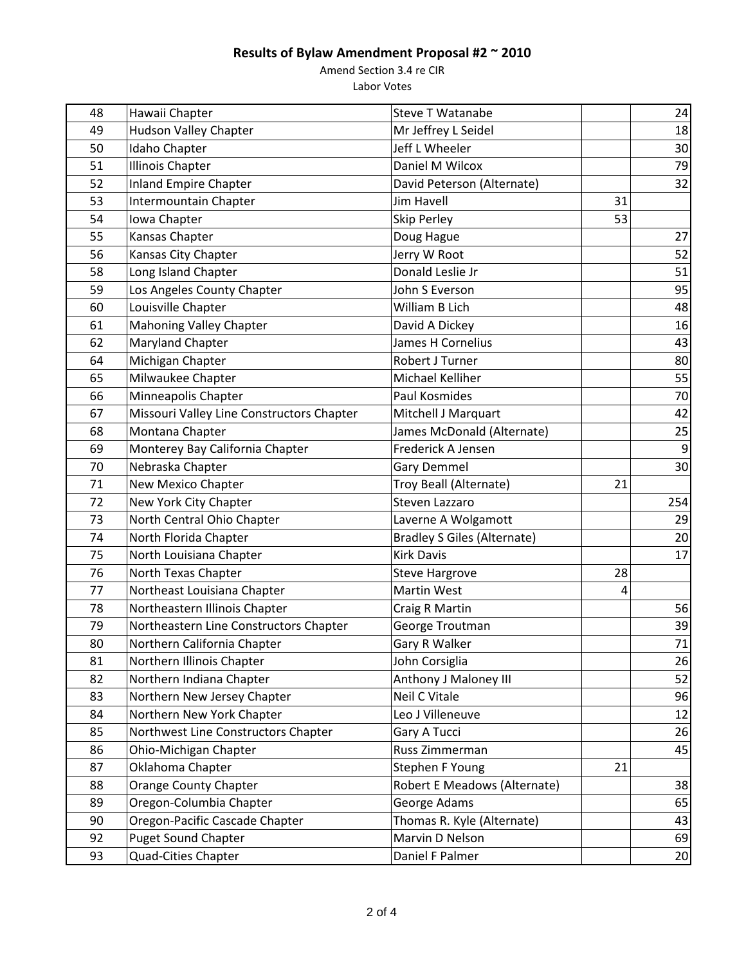Amend Section 3.4 re CIR

| 48 | Hawaii Chapter                            | <b>Steve T Watanabe</b>            |                | 24              |
|----|-------------------------------------------|------------------------------------|----------------|-----------------|
| 49 | <b>Hudson Valley Chapter</b>              | Mr Jeffrey L Seidel                |                | 18              |
| 50 | Idaho Chapter                             | Jeff L Wheeler                     |                | 30              |
| 51 | <b>Illinois Chapter</b>                   | Daniel M Wilcox                    |                | 79              |
| 52 | <b>Inland Empire Chapter</b>              | David Peterson (Alternate)         |                | 32              |
| 53 | Intermountain Chapter                     | Jim Havell                         | 31             |                 |
| 54 | Iowa Chapter                              | Skip Perley                        | 53             |                 |
| 55 | Kansas Chapter                            | Doug Hague                         |                | 27              |
| 56 | Kansas City Chapter                       | Jerry W Root                       |                | 52              |
| 58 | Long Island Chapter                       | Donald Leslie Jr                   |                | 51              |
| 59 | Los Angeles County Chapter                | John S Everson                     |                | 95              |
| 60 | Louisville Chapter                        | William B Lich                     |                | 48              |
| 61 | <b>Mahoning Valley Chapter</b>            | David A Dickey                     |                | 16              |
| 62 | Maryland Chapter                          | James H Cornelius                  |                | 43              |
| 64 | Michigan Chapter                          | Robert J Turner                    |                | 80              |
| 65 | Milwaukee Chapter                         | Michael Kelliher                   |                | 55              |
| 66 | Minneapolis Chapter                       | Paul Kosmides                      |                | 70              |
| 67 | Missouri Valley Line Constructors Chapter | Mitchell J Marquart                |                | 42              |
| 68 | Montana Chapter                           | James McDonald (Alternate)         |                | 25              |
| 69 | Monterey Bay California Chapter           | Frederick A Jensen                 |                |                 |
| 70 | Nebraska Chapter                          | <b>Gary Demmel</b>                 |                | 30              |
| 71 | New Mexico Chapter                        | Troy Beall (Alternate)             | 21             |                 |
| 72 | New York City Chapter                     | Steven Lazzaro                     |                | 254             |
| 73 | North Central Ohio Chapter                | Laverne A Wolgamott                |                | 29              |
| 74 | North Florida Chapter                     | <b>Bradley S Giles (Alternate)</b> |                | 20              |
| 75 | North Louisiana Chapter                   | <b>Kirk Davis</b>                  |                | 17              |
| 76 | North Texas Chapter                       | <b>Steve Hargrove</b>              | 28             |                 |
| 77 | Northeast Louisiana Chapter               | <b>Martin West</b>                 | $\overline{4}$ |                 |
| 78 | Northeastern Illinois Chapter             | Craig R Martin                     |                | 56              |
| 79 | Northeastern Line Constructors Chapter    | George Troutman                    |                | 39              |
| 80 | Northern California Chapter               | Gary R Walker                      |                | 71              |
| 81 | Northern Illinois Chapter                 | John Corsiglia                     |                | 26              |
| 82 | Northern Indiana Chapter                  | Anthony J Maloney III              |                | 52              |
| 83 | Northern New Jersey Chapter               | Neil C Vitale                      |                | 96              |
| 84 | Northern New York Chapter                 | Leo J Villeneuve                   |                | 12              |
| 85 | Northwest Line Constructors Chapter       | Gary A Tucci                       |                | 26              |
| 86 | Ohio-Michigan Chapter                     | Russ Zimmerman                     |                | 45              |
| 87 | Oklahoma Chapter                          | Stephen F Young                    | 21             |                 |
| 88 | <b>Orange County Chapter</b>              | Robert E Meadows (Alternate)       |                | 38              |
| 89 | Oregon-Columbia Chapter                   | George Adams                       |                | 65              |
| 90 | Oregon-Pacific Cascade Chapter            | Thomas R. Kyle (Alternate)         |                | 43              |
| 92 | <b>Puget Sound Chapter</b>                | Marvin D Nelson                    |                | 69              |
| 93 | Quad-Cities Chapter                       | Daniel F Palmer                    |                | 20 <sup>1</sup> |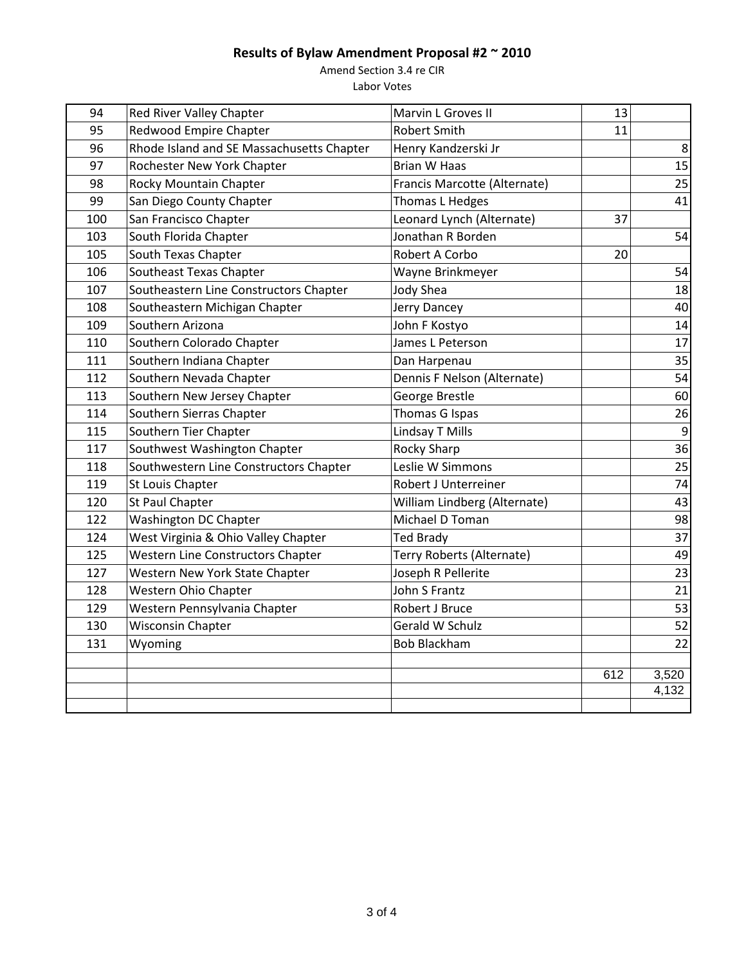Amend Section 3.4 re CIR

| 94  | Red River Valley Chapter                  | Marvin L Groves II           | 13  |       |
|-----|-------------------------------------------|------------------------------|-----|-------|
| 95  | <b>Redwood Empire Chapter</b>             | <b>Robert Smith</b>          | 11  |       |
| 96  | Rhode Island and SE Massachusetts Chapter | Henry Kandzerski Jr          |     | 8     |
| 97  | Rochester New York Chapter                | <b>Brian W Haas</b>          |     | 15    |
| 98  | Rocky Mountain Chapter                    | Francis Marcotte (Alternate) |     | 25    |
| 99  | San Diego County Chapter                  | Thomas L Hedges              |     | 41    |
| 100 | San Francisco Chapter                     | Leonard Lynch (Alternate)    | 37  |       |
| 103 | South Florida Chapter                     | Jonathan R Borden            |     | 54    |
| 105 | South Texas Chapter                       | Robert A Corbo               | 20  |       |
| 106 | Southeast Texas Chapter                   | Wayne Brinkmeyer             |     | 54    |
| 107 | Southeastern Line Constructors Chapter    | <b>Jody Shea</b>             |     | 18    |
| 108 | Southeastern Michigan Chapter             | Jerry Dancey                 |     | 40    |
| 109 | Southern Arizona                          | John F Kostyo                |     | 14    |
| 110 | Southern Colorado Chapter                 | James L Peterson             |     | 17    |
| 111 | Southern Indiana Chapter                  | Dan Harpenau                 |     | 35    |
| 112 | Southern Nevada Chapter                   | Dennis F Nelson (Alternate)  |     | 54    |
| 113 | Southern New Jersey Chapter               | George Brestle               |     | 60    |
| 114 | Southern Sierras Chapter                  | Thomas G Ispas               |     | 26    |
| 115 | Southern Tier Chapter                     | Lindsay T Mills              |     | 9     |
| 117 | Southwest Washington Chapter              | <b>Rocky Sharp</b>           |     | 36    |
| 118 | Southwestern Line Constructors Chapter    | Leslie W Simmons             |     | 25    |
| 119 | St Louis Chapter                          | Robert J Unterreiner         |     | 74    |
| 120 | St Paul Chapter                           | William Lindberg (Alternate) |     | 43    |
| 122 | Washington DC Chapter                     | Michael D Toman              |     | 98    |
| 124 | West Virginia & Ohio Valley Chapter       | <b>Ted Brady</b>             |     | 37    |
| 125 | <b>Western Line Constructors Chapter</b>  | Terry Roberts (Alternate)    |     | 49    |
| 127 | Western New York State Chapter            | Joseph R Pellerite           |     | 23    |
| 128 | Western Ohio Chapter                      | John S Frantz                |     | 21    |
| 129 | Western Pennsylvania Chapter              | Robert J Bruce               |     | 53    |
| 130 | <b>Wisconsin Chapter</b>                  | Gerald W Schulz              |     | 52    |
| 131 | Wyoming                                   | <b>Bob Blackham</b>          |     | 22    |
|     |                                           |                              |     |       |
|     |                                           |                              | 612 | 3,520 |
|     |                                           |                              |     | 4,132 |
|     |                                           |                              |     |       |